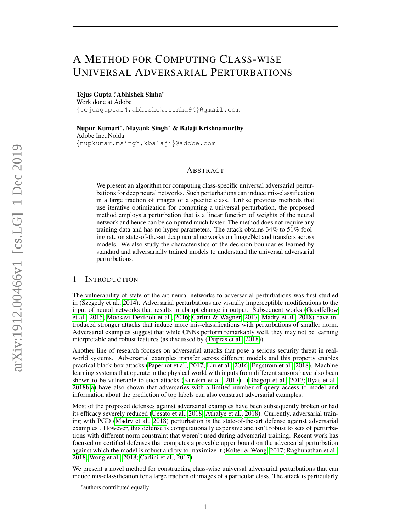# A METHOD FOR COMPUTING CLASS-WISE UNIVERSAL ADVERSARIAL PERTURBATIONS

Tejus Gupta <sup>\*</sup>, Abhishek Sinha<sup>\*</sup>

Work done at Adobe {tejusgupta14,abhishek.sinha94}@gmail.com

Nupur Kumari<sup>∗</sup> , Mayank Singh<sup>∗</sup> & Balaji Krishnamurthy Adobe Inc.,Noida {nupkumar,msingh,kbalaji}@adobe.com

### ABSTRACT

We present an algorithm for computing class-specific universal adversarial perturbations for deep neural networks. Such perturbations can induce mis-classification in a large fraction of images of a specific class. Unlike previous methods that use iterative optimization for computing a universal perturbation, the proposed method employs a perturbation that is a linear function of weights of the neural network and hence can be computed much faster. The method does not require any training data and has no hyper-parameters. The attack obtains 34% to 51% fooling rate on state-of-the-art deep neural networks on ImageNet and transfers across models. We also study the characteristics of the decision boundaries learned by standard and adversarially trained models to understand the universal adversarial perturbations.

## 1 INTRODUCTION

The vulnerability of state-of-the-art neural networks to adversarial perturbations was first studied in [\(Szegedy et al., 2014\)](#page-9-0). Adversarial perturbations are visually imperceptible modifications to the input of neural networks that results in abrupt change in output. Subsequent works [\(Goodfellow](#page-8-0) [et al., 2015;](#page-8-0) [Moosavi-Dezfooli et al., 2016;](#page-8-1) [Carlini & Wagner, 2017;](#page-8-2) [Madry et al., 2018\)](#page-8-3) have introduced stronger attacks that induce more mis-classifications with perturbations of smaller norm. Adversarial examples suggest that while CNNs perform remarkably well, they may not be learning interpretable and robust features (as discussed by [\(Tsipras et al., 2018\)](#page-9-1)).

Another line of research focuses on adversarial attacks that pose a serious security threat in realworld systems. Adversarial examples transfer across different models and this property enables practical black-box attacks [\(Papernot et al., 2017;](#page-8-4) [Liu et al., 2016;](#page-8-5) [Engstrom et al., 2018\)](#page-8-6). Machine learning systems that operate in the physical world with inputs from different sensors have also been shown to be vulnerable to such attacks [\(Kurakin et al., 2017\)](#page-8-7). [\(Bhagoji et al., 2017;](#page-7-0) [Ilyas et al.,](#page-8-8) [2018b;](#page-8-8)[a\)](#page-8-9) have also shown that adversaries with a limited number of query access to model and information about the prediction of top labels can also construct adversarial examples.

Most of the proposed defenses against adversarial examples have been subsequently broken or had its efficacy severely reduced [\(Uesato et al., 2018;](#page-9-2) [Athalye et al., 2018\)](#page-7-1). Currently, adversarial training with PGD [\(Madry et al., 2018\)](#page-8-3) perturbation is the state-of-the-art defense against adversarial examples . However, this defense is computationally expensive and isn't robust to sets of perturbations with different norm constraint that weren't used during adversarial training. Recent work has focused on certified defenses that computes a provable upper bound on the adversarial perturbation against which the model is robust and try to maximize it [\(Kolter & Wong, 2017;](#page-8-10) [Raghunathan et al.,](#page-9-3) [2018;](#page-9-3) [Wong et al., 2018;](#page-9-4) [Carlini et al., 2017\)](#page-8-11).

We present a novel method for constructing class-wise universal adversarial perturbations that can induce mis-classification for a large fraction of images of a particular class. The attack is particularly

<sup>∗</sup> authors contributed equally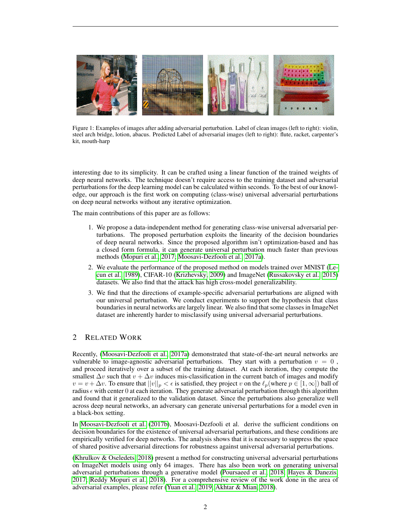

Figure 1: Examples of images after adding adversarial perturbation. Label of clean images (left to right): violin, steel arch bridge, lotion, abacus. Predicted Label of adversarial images (left to right): flute, racket, carpenter's kit, mouth-harp

interesting due to its simplicity. It can be crafted using a linear function of the trained weights of deep neural networks. The technique doesn't require access to the training dataset and adversarial perturbations for the deep learning model can be calculated within seconds. To the best of our knowledge, our approach is the first work on computing (class-wise) universal adversarial perturbations on deep neural networks without any iterative optimization.

The main contributions of this paper are as follows:

- 1. We propose a data-independent method for generating class-wise universal adversarial perturbations. The proposed perturbation exploits the linearity of the decision boundaries of deep neural networks. Since the proposed algorithm isn't optimization-based and has a closed form formula, it can generate universal perturbation much faster than previous methods [\(Mopuri et al., 2017;](#page-8-12) [Moosavi-Dezfooli et al., 2017a\)](#page-8-13).
- 2. We evaluate the performance of the proposed method on models trained over MNIST [\(Le](#page-8-14)[cun et al., 1989\)](#page-8-14), CIFAR-10 [\(Krizhevsky, 2009\)](#page-8-15) and ImageNet [\(Russakovsky et al., 2015\)](#page-9-5) datasets. We also find that the attack has high cross-model generalizability.
- 3. We find that the directions of example-specific adversarial perturbations are aligned with our universal perturbation. We conduct experiments to support the hypothesis that class boundaries in neural networks are largely linear. We also find that some classes in ImageNet dataset are inherently harder to misclassify using universal adversarial perturbations.

# 2 RELATED WORK

Recently, [\(Moosavi-Dezfooli et al., 2017a\)](#page-8-13) demonstrated that state-of-the-art neural networks are vulnerable to image-agnostic adversarial perturbations. They start with a perturbation  $v = 0$ , and proceed iteratively over a subset of the training dataset. At each iteration, they compute the smallest  $\Delta v$  such that  $v + \Delta v$  induces mis-classification in the current batch of images and modify  $v = v + \Delta v$ . To ensure that  $||v||_p < \epsilon$  is satisfied, they project v on the  $\ell_p$ (where  $p \in [1, \infty]$ ) ball of radius  $\epsilon$  with center 0 at each iteration. They generate adversarial perturbation through this algorithm and found that it generalized to the validation dataset. Since the perturbations also generalize well across deep neural networks, an adversary can generate universal perturbations for a model even in a black-box setting.

In [Moosavi-Dezfooli et al.](#page-8-16) [\(2017b\)](#page-8-16), Moosavi-Dezfooli et al. derive the sufficient conditions on decision boundaries for the existence of universal adversarial perturbations, and these conditions are empirically verified for deep networks. The analysis shows that it is necessary to suppress the space of shared positive adversarial directions for robustness against universal adversarial perturbations.

[\(Khrulkov & Oseledets, 2018\)](#page-8-17) present a method for constructing universal adversarial perturbations on ImageNet models using only 64 images. There has also been work on generating universal adversarial perturbations through a generative model [\(Poursaeed et al., 2018;](#page-9-6) [Hayes & Danezis,](#page-8-18) [2017;](#page-8-18) [Reddy Mopuri et al., 2018\)](#page-9-7). For a comprehensive review of the work done in the area of adversarial examples, please refer [\(Yuan et al., 2019;](#page-9-8) [Akhtar & Mian, 2018\)](#page-7-2).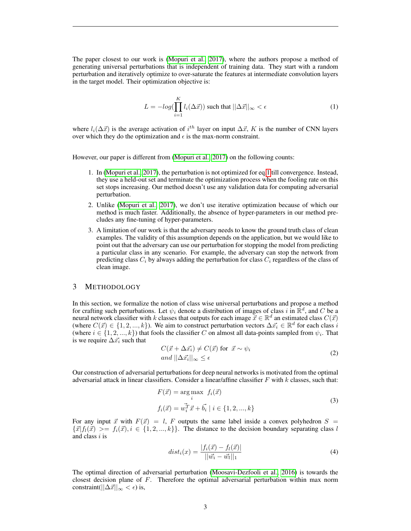The paper closest to our work is [\(Mopuri et al., 2017\)](#page-8-12), where the authors propose a method of generating universal perturbations that is independent of training data. They start with a random perturbation and iteratively optimize to over-saturate the features at intermediate convolution layers in the target model. Their optimization objective is:

<span id="page-2-0"></span>
$$
L = -\log\left(\prod_{i=1}^{K} l_i(\Delta \vec{x})\right) \text{ such that } ||\Delta \vec{x}||_{\infty} < \epsilon \tag{1}
$$

where  $l_i(\Delta \vec{x})$  is the average activation of  $i^{th}$  layer on input  $\Delta \vec{x}$ , K is the number of CNN layers over which they do the optimization and  $\epsilon$  is the max-norm constraint.

However, our paper is different from [\(Mopuri et al., 2017\)](#page-8-12) on the following counts:

- 1. In [\(Mopuri et al., 2017\)](#page-8-12), the perturbation is not optimized for eq[.1](#page-2-0) till convergence. Instead, they use a held-out set and terminate the optimization process when the fooling rate on this set stops increasing. Our method doesn't use any validation data for computing adversarial perturbation.
- 2. Unlike [\(Mopuri et al., 2017\)](#page-8-12), we don't use iterative optimization because of which our method is much faster. Additionally, the absence of hyper-parameters in our method precludes any fine-tuning of hyper-parameters.
- 3. A limitation of our work is that the adversary needs to know the ground truth class of clean examples. The validity of this assumption depends on the application, but we would like to point out that the adversary can use our perturbation for stopping the model from predicting a particular class in any scenario. For example, the adversary can stop the network from predicting class  $C_i$  by always adding the perturbation for class  $C_i$  regardless of the class of clean image.

#### 3 METHODOLOGY

In this section, we formalize the notion of class wise universal perturbations and propose a method for crafting such perturbations. Let  $\psi_i$  denote a distribution of images of class i in  $\mathbb{R}^d$ , and C be a neural network classifier with k classes that outputs for each image  $\vec{x} \in \mathbb{R}^d$  an estimated class  $C(\vec{x})$ (where  $C(\vec{x}) \in \{1, 2, ..., k\}$ ). We aim to construct perturbation vectors  $\Delta \vec{x_i} \in \mathbb{R}^d$  for each class  $\vec{i}$ (where  $i \in \{1, 2, ..., k\}$ ) that fools the classifier C on almost all data-points sampled from  $\psi_i$ . That is we require  $\Delta \vec{x_i}$  such that

$$
C(\vec{x} + \Delta \vec{x_i}) \neq C(\vec{x}) \text{ for } \vec{x} \sim \psi_i
$$
  
and  $||\Delta \vec{x_i}||_{\infty} \leq \epsilon$  (2)

Our construction of adversarial perturbations for deep neural networks is motivated from the optimal adversarial attack in linear classifiers. Consider a linear/affine classifier  $F$  with  $k$  classes, such that:

$$
F(\vec{x}) = \underset{i}{\arg \max} f_i(\vec{x})
$$
  

$$
f_i(\vec{x}) = \vec{w_i^T} \vec{x} + \vec{b_i} \mid i \in \{1, 2, ..., k\}
$$
 (3)

For any input  $\vec{x}$  with  $F(\vec{x}) = l$ , F outputs the same label inside a convex polyhedron  $S =$  $\{\vec{x}|f_l(\vec{x}) \geq f_i(\vec{x}), i \in \{1, 2, ..., k\}\}.$  The distance to the decision boundary separating class l and class  $i$  is

$$
dist_i(x) = \frac{|f_i(\vec{x}) - f_l(\vec{x})|}{||\vec{w_i} - \vec{w_l}||_1}
$$
(4)

The optimal direction of adversarial perturbation [\(Moosavi-Dezfooli et al., 2016\)](#page-8-1) is towards the closest decision plane of F. Therefore the optimal adversarial perturbation within max norm constraint( $||\Delta \vec{x}||_{\infty} < \epsilon$ ) is,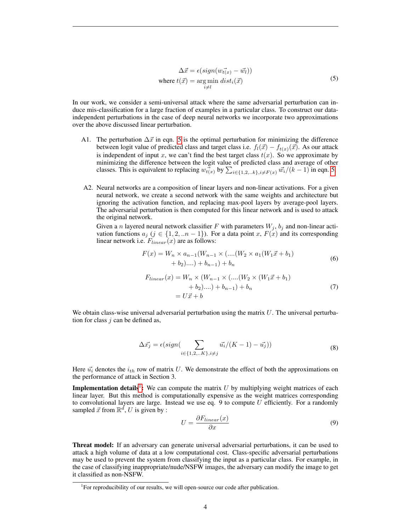$$
\Delta \vec{x} = \epsilon (\text{sign}(w_{t(x)}^{\dagger} - \vec{w}_l))
$$
  
where  $t(\vec{x}) = \underset{i \neq l}{\text{arg min }} \text{dist}_i(\vec{x})$  (5)

<span id="page-3-0"></span>In our work, we consider a semi-universal attack where the same adversarial perturbation can induce mis-classification for a large fraction of examples in a particular class. To construct our dataindependent perturbations in the case of deep neural networks we incorporate two approximations over the above discussed linear perturbation.

- A1. The perturbation  $\Delta \vec{x}$  in eqn. [5](#page-3-0) is the optimal perturbation for minimizing the difference between logit value of predicted class and target class i.e.  $f_l(\vec{x}) - f_{t(x)}(\vec{x})$ . As our attack is independent of input x, we can't find the best target class  $t(x)$ . So we approximate by minimizing the difference between the logit value of predicted class and average of other classes. This is equivalent to replacing  $w_{\vec{t}(x)}^{\to}$  by  $\sum_{i\in\{1,2,..k\},i\neq F(x)} \vec{w_i}/(k-1)$  in eqn. [5.](#page-3-0)
- A2. Neural networks are a composition of linear layers and non-linear activations. For a given neural network, we create a second network with the same weights and architecture but ignoring the activation function, and replacing max-pool layers by average-pool layers. The adversarial perturbation is then computed for this linear network and is used to attack the original network.

Given a *n* layered neural network classifier F with parameters  $W_i$ ,  $b_i$  and non-linear activation functions  $a_j$  ( $j \in \{1, 2, \ldots n-1\}$ ). For a data point x,  $F(x)$  and its corresponding linear network i.e.  $F_{linear}(x)$  are as follows:

$$
F(x) = W_n \times a_{n-1}(W_{n-1} \times (\dots (W_2 \times a_1(W_1 \vec{x} + b_1) + b_2)\dots) + b_{n-1}) + b_n
$$
\n
$$
(6)
$$

$$
F_{linear}(x) = W_n \times (W_{n-1} \times (\dots (W_2 \times (W_1 \vec{x} + b_1) + b_2) \dots) + b_{n-1}) + b_n
$$
  
= U\vec{x} + b (7)

We obtain class-wise universal adversarial perturbation using the matrix  $U$ . The universal perturbation for class  $j$  can be defined as,

$$
\Delta \vec{x_j} = \epsilon(\text{sign}(\sum_{i \in \{1, 2, \dots K\}, i \neq j} \vec{u_i} / (K - 1) - \vec{u_j})) \tag{8}
$$

Here  $\vec{u_i}$  denotes the  $i_{th}$  row of matrix U. We demonstrate the effect of both the approximations on the performance of attack in Section 3.

**Implementation details**<sup>[1](#page-3-1)</sup>: We can compute the matrix U by multiplying weight matrices of each linear layer. But this method is computationally expensive as the weight matrices corresponding to convolutional layers are large. Instead we use eq. 9 to compute  $U$  efficiently. For a randomly sampled  $\vec{x}$  from  $\mathbb{R}^d$ , U is given by :

$$
U = \frac{\partial F_{linear}(x)}{\partial x} \tag{9}
$$

Threat model: If an adversary can generate universal adversarial perturbations, it can be used to attack a high volume of data at a low computational cost. Class-specific adversarial perturbations may be used to prevent the system from classifying the input as a particular class. For example, in the case of classifying inappropriate/nude/NSFW images, the adversary can modify the image to get it classified as non-NSFW.

<span id="page-3-1"></span><sup>&</sup>lt;sup>1</sup>For reproducibility of our results, we will open-source our code after publication.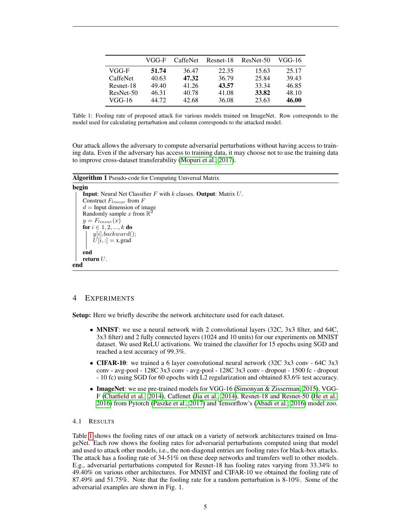<span id="page-4-0"></span>

|           | VGG-F | <b>CaffeNet</b> | Resnet-18 | ResNet-50 | VGG-16 |
|-----------|-------|-----------------|-----------|-----------|--------|
| VGG-F     | 51.74 | 36.47           | 22.35     | 15.63     | 25.17  |
| CaffeNet  | 40.63 | 47.32           | 36.79     | 25.84     | 39.43  |
| Resnet-18 | 49.40 | 41.26           | 43.57     | 33.34     | 46.85  |
| ResNet-50 | 46.31 | 40.78           | 41.08     | 33.82     | 48.10  |
| VGG-16    | 44.72 | 42.68           | 36.08     | 23.63     | 46.00  |

Table 1: Fooling rate of proposed attack for various models trained on ImageNet. Row corresponds to the model used for calculating perturbation and column corresponds to the attacked model.

Our attack allows the adversary to compute adversarial perturbations without having access to training data. Even if the adversary has access to training data, it may choose not to use the training data to improve cross-dataset transferability [\(Mopuri et al., 2017\)](#page-8-12).

Algorithm 1 Pseudo-code for Computing Universal Matrix

```
begin
    Input: Neural Net Classifier F with k classes. Output: Matrix U.
    Construct F_{linear} from Fd =Input dimension of image
    Randomly sample x from \mathbb{R}^dy = F_{linear}(x)for i \in {1, 2, ..., k} do
        y[i].backward();U[i, :] = x.\text{grad}end
   return U.
end
```
## 4 EXPERIMENTS

Setup: Here we briefly describe the network architecture used for each dataset.

- **MNIST**: we use a neural network with 2 convolutional layers (32C, 3x3 filter, and 64C, 3x3 filter) and 2 fully connected layers (1024 and 10 units) for our experiments on MNIST dataset. We used ReLU activations. We trained the classifier for 15 epochs using SGD and reached a test accuracy of 99.3%.
- CIFAR-10: we trained a 6 layer convolutional neural network (32C 3x3 conv 64C 3x3 conv - avg-pool - 128C 3x3 conv - avg-pool - 128C 3x3 conv - dropout - 1500 fc - dropout - 10 fc) using SGD for 60 epochs with L2 regularization and obtained 83.6% test accuracy.
- ImageNet: we use pre-trained models for VGG-16 [\(Simonyan & Zisserman, 2015\)](#page-9-9), VGG-F [\(Chatfield et al., 2014\)](#page-8-19), Caffenet [\(Jia et al., 2014\)](#page-8-20), Resnet-18 and Resnet-50 [\(He et al.,](#page-8-21) [2016\)](#page-8-21) from Pytorch [\(Paszke et al., 2017\)](#page-9-10) and Tensorflow's [\(Abadi et al., 2016\)](#page-7-3) model zoo.

#### 4.1 RESULTS

Table [1](#page-4-0) shows the fooling rates of our attack on a variety of network architectures trained on ImageNet. Each row shows the fooling rates for adversarial perturbations computed using that model and used to attack other models, i.e., the non-diagonal entries are fooling rates for black-box attacks. The attack has a fooling rate of 34-51% on these deep networks and transfers well to other models. E.g., adversarial perturbations computed for Resnet-18 has fooling rates varying from 33.34% to 49.40% on various other architectures. For MNIST and CIFAR-10 we obtained the fooling rate of 87.49% and 51.75%. Note that the fooling rate for a random perturbation is 8-10%. Some of the adversarial examples are shown in Fig. 1.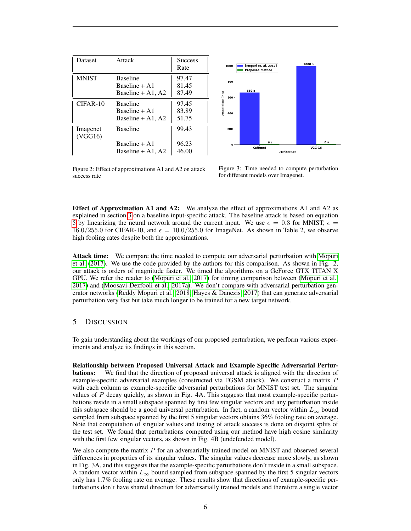| Dataset             | Attack                                                  | <b>Success</b><br>Rate  |
|---------------------|---------------------------------------------------------|-------------------------|
| <b>MNIST</b>        | <b>Baseline</b><br>$Baseline + A1$<br>Baseline + A1, A2 | 97.47<br>81.45<br>87.49 |
| $CIFAR-10$          | <b>Baseline</b><br>Baseline + A1<br>Baseline $+$ A1, A2 | 97.45<br>83.89<br>51.75 |
| Imagenet<br>(VGG16) | <b>Baseline</b><br>Baseline + A1<br>Baseline $+$ A1, A2 | 99.43<br>96.23<br>46.00 |



Figure 2: Effect of approximations A1 and A2 on attack success rate

Figure 3: Time needed to compute perturbation for different models over Imagenet.

**Effect of Approximation A1 and A2:** We analyze the effect of approximations A1 and A2 as explained in section [3](#page-3-0) on a baseline input-specific attack. The baseline attack is based on equation [5](#page-3-0) by linearizing the neural network around the current input. We use  $\epsilon = 0.3$  for MNIST,  $\epsilon =$ 16.0/255.0 for CIFAR-10, and  $\epsilon = 10.0/255.0$  for ImageNet. As shown in Table 2, we observe high fooling rates despite both the approximations.

Attack time: We compare the time needed to compute our adversarial perturbation with [Mopuri](#page-8-12) [et al.](#page-8-12) [\(2017\)](#page-8-12). We use the code provided by the authors for this comparison. As shown in Fig. 2, our attack is orders of magnitude faster. We timed the algorithms on a GeForce GTX TITAN X GPU. We refer the reader to [\(Mopuri et al., 2017\)](#page-8-12) for timing comparison between [\(Mopuri et al.,](#page-8-12) [2017\)](#page-8-12) and [\(Moosavi-Dezfooli et al., 2017a\)](#page-8-13). We don't compare with adversarial perturbation generator networks [\(Reddy Mopuri et al., 2018;](#page-9-7) [Hayes & Danezis, 2017\)](#page-8-18) that can generate adversarial perturbation very fast but take much longer to be trained for a new target network.

# 5 DISCUSSION

To gain understanding about the workings of our proposed perturbation, we perform various experiments and analyze its findings in this section.

Relationship between Proposed Universal Attack and Example Specific Adversarial Pertur**bations:** We find that the direction of proposed universal attack is aligned with the direction of example-specific adversarial examples (constructed via FGSM attack). We construct a matrix  $P$ with each column as example-specific adversarial perturbations for MNIST test set. The singular values of  $P$  decay quickly, as shown in Fig. 4A. This suggests that most example-specific perturbations reside in a small subspace spanned by first few singular vectors and any perturbation inside this subspace should be a good universal perturbation. In fact, a random vector within  $L_{\infty}$  bound sampled from subspace spanned by the first 5 singular vectors obtains 36% fooling rate on average. Note that computation of singular values and testing of attack success is done on disjoint splits of the test set. We found that perturbations computed using our method have high cosine similarity with the first few singular vectors, as shown in Fig. 4B (undefended model).

We also compute the matrix  $P$  for an adversarially trained model on MNIST and observed several differences in properties of its singular values. The singular values decrease more slowly, as shown in Fig. 3A, and this suggests that the example-specific perturbations don't reside in a small subspace. A random vector within  $L_{\infty}$  bound sampled from subspace spanned by the first 5 singular vectors only has 1.7% fooling rate on average. These results show that directions of example-specific perturbations don't have shared direction for adversarially trained models and therefore a single vector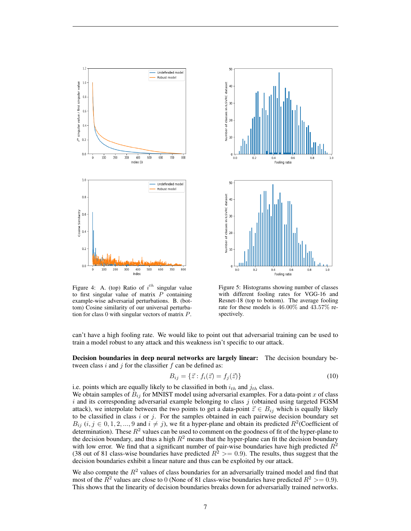

 $50$ ILSVRC dataset 40  $30$ Jumber of classes in  $20$  $10$  $0 + 0.0$  $0.6$  $1.0$  $0.2$  $0.4$ Fooling ratio 50 of classes in ILSVRC dataset  $40$  $30$ 20 her ş  $10$ 

Figure 4: A. (top) Ratio of  $i^{th}$  singular value to first singular value of matrix  $P$  containing example-wise adversarial perturbations. B. (bottom) Cosine similarity of our universal perturbation for class 0 with singular vectors of matrix  $P$ .

Figure 5: Histograms showing number of classes with different fooling rates for VGG-16 and Resnet-18 (top to bottom). The average fooling rate for these models is 46.00% and 43.57% respectively.

 $0.4$ 

 $0.6$ 

Fooling ratio

 $1.0$ 

 $0.8$ 

can't have a high fooling rate. We would like to point out that adversarial training can be used to train a model robust to any attack and this weakness isn't specific to our attack.

 $\mathbf{0}$ 

 $0.0$ 

 $0.2$ 

Decision boundaries in deep neural networks are largely linear: The decision boundary between class i and j for the classifier  $f$  can be defined as:

$$
B_{ij} = \{\vec{z} : f_i(\vec{z}) = f_j(\vec{z})\}\tag{10}
$$

i.e. points which are equally likely to be classified in both  $i_{th}$  and  $j_{th}$  class. We obtain samples of  $B_{ij}$  for MNIST model using adversarial examples. For a data-point x of class  $i$  and its corresponding adversarial example belonging to class  $j$  (obtained using targeted FGSM attack), we interpolate between the two points to get a data-point  $\vec{z} \in B_{ij}$  which is equally likely to be classified in class  $i$  or  $j$ . For the samples obtained in each pairwise decision boundary set  $B_{ij}$  (i,  $j \in 0, 1, 2, ..., 9$  and  $i \neq j$ ), we fit a hyper-plane and obtain its predicted  $R^2$  (Coefficient of determination). These  $R^2$  values can be used to comment on the goodness of fit of the hyper-plane to the decision boundary, and thus a high  $R^2$  means that the hyper-plane can fit the decision boundary with low error. We find that a significant number of pair-wise boundaries have high predicted  $R^2$ (38 out of 81 class-wise boundaries have predicted  $R^2$  >= 0.9). The results, thus suggest that the decision boundaries exhibit a linear nature and thus can be exploited by our attack.

We also compute the  $R<sup>2</sup>$  values of class boundaries for an adversarially trained model and find that most of the  $R^2$  values are close to 0 (None of 81 class-wise boundaries have predicted  $R^2 \ge 0.9$ ). This shows that the linearity of decision boundaries breaks down for adversarially trained networks.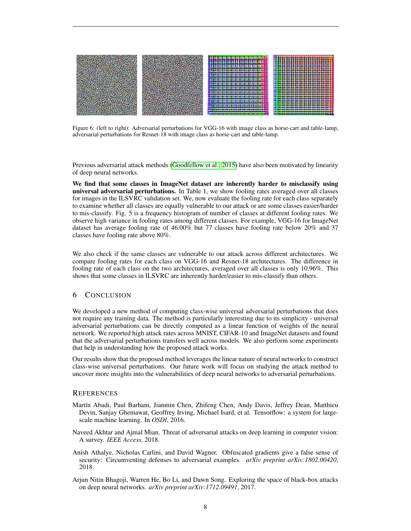

Figure 6: (left to right): Adversarial perturbations for VGG-16 with image class as horse-cart and table-lamp, adversarial perturbations for Resnet-18 with image class as horse-cart and table-lamp.

Previous adversarial attack methods [\(Goodfellow et al., 2015\)](#page-8-0) have also been motivated by linearity of deep neural networks.

We find that some classes in ImageNet dataset are inherently harder to misclassify using universal adversarial perturbations. In Table 1, we show fooling rates averaged over all classes for images in the ILSVRC validation set. We, now evaluate the fooling rate for each class separately to examine whether all classes are equally vulnerable to our attack or are some classes easier/harder to mis-classify. Fig. 5 is a frequency histogram of number of classes at different fooling rates. We observe high variance in fooling rates among different classes. For example, VGG-16 for ImageNet dataset has average fooling rate of 46.00% but 77 classes have fooling rate below 20% and 37 classes have fooling rate above 80%.

We also check if the same classes are vulnerable to our attack across different architectures. We compare fooling rates for each class on VGG-16 and Resnet-18 architectures. The difference in fooling rate of each class on the two architectures, averaged over all classes is only 10.96%. This shows that some classes in ILSVRC are inherently harder/easier to mis-classify than others.

### 6 CONCLUSION

We developed a new method of computing class-wise universal adversarial perturbations that does not require any training data. The method is particularly interesting due to its simplicity - universal adversarial perturbations can be directly computed as a linear function of weights of the neural network. We reported high attack rates across MNIST, CIFAR-10 and ImageNet datasets and found that the adversarial perturbations transfers well across models. We also perform some experiments that help in understanding how the proposed attack works.

Our results show that the proposed method leverages the linear nature of neural networks to construct class-wise universal perturbations. Our future work will focus on studying the attack method to uncover more insights into the vulnerabilities of deep neural networks to adversarial perturbations.

#### **REFERENCES**

- <span id="page-7-3"></span>Martín Abadi, Paul Barham, Jianmin Chen, Zhifeng Chen, Andy Davis, Jeffrey Dean, Matthieu Devin, Sanjay Ghemawat, Geoffrey Irving, Michael Isard, et al. Tensorflow: a system for largescale machine learning. In *OSDI*, 2016.
- <span id="page-7-2"></span>Naveed Akhtar and Ajmal Mian. Threat of adversarial attacks on deep learning in computer vision: A survey. *IEEE Access*, 2018.
- <span id="page-7-1"></span>Anish Athalye, Nicholas Carlini, and David Wagner. Obfuscated gradients give a false sense of security: Circumventing defenses to adversarial examples. *arXiv preprint arXiv:1802.00420*, 2018.
- <span id="page-7-0"></span>Arjun Nitin Bhagoji, Warren He, Bo Li, and Dawn Song. Exploring the space of black-box attacks on deep neural networks. *arXiv preprint arXiv:1712.09491*, 2017.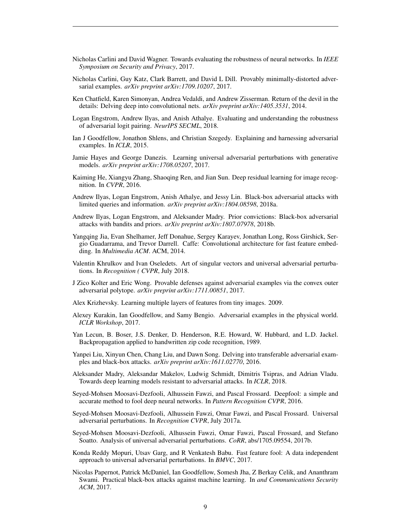- <span id="page-8-2"></span>Nicholas Carlini and David Wagner. Towards evaluating the robustness of neural networks. In *IEEE Symposium on Security and Privacy*, 2017.
- <span id="page-8-11"></span>Nicholas Carlini, Guy Katz, Clark Barrett, and David L Dill. Provably minimally-distorted adversarial examples. *arXiv preprint arXiv:1709.10207*, 2017.
- <span id="page-8-19"></span>Ken Chatfield, Karen Simonyan, Andrea Vedaldi, and Andrew Zisserman. Return of the devil in the details: Delving deep into convolutional nets. *arXiv preprint arXiv:1405.3531*, 2014.
- <span id="page-8-6"></span>Logan Engstrom, Andrew Ilyas, and Anish Athalye. Evaluating and understanding the robustness of adversarial logit pairing. *NeurIPS SECML*, 2018.
- <span id="page-8-0"></span>Ian J Goodfellow, Jonathon Shlens, and Christian Szegedy. Explaining and harnessing adversarial examples. In *ICLR*, 2015.
- <span id="page-8-18"></span>Jamie Hayes and George Danezis. Learning universal adversarial perturbations with generative models. *arXiv preprint arXiv:1708.05207*, 2017.
- <span id="page-8-21"></span>Kaiming He, Xiangyu Zhang, Shaoqing Ren, and Jian Sun. Deep residual learning for image recognition. In *CVPR*, 2016.
- <span id="page-8-9"></span>Andrew Ilyas, Logan Engstrom, Anish Athalye, and Jessy Lin. Black-box adversarial attacks with limited queries and information. *arXiv preprint arXiv:1804.08598*, 2018a.
- <span id="page-8-8"></span>Andrew Ilyas, Logan Engstrom, and Aleksander Madry. Prior convictions: Black-box adversarial attacks with bandits and priors. *arXiv preprint arXiv:1807.07978*, 2018b.
- <span id="page-8-20"></span>Yangqing Jia, Evan Shelhamer, Jeff Donahue, Sergey Karayev, Jonathan Long, Ross Girshick, Sergio Guadarrama, and Trevor Darrell. Caffe: Convolutional architecture for fast feature embedding. In *Multimedia ACM*. ACM, 2014.
- <span id="page-8-17"></span>Valentin Khrulkov and Ivan Oseledets. Art of singular vectors and universal adversarial perturbations. In *Recognition ( CVPR*, July 2018.
- <span id="page-8-10"></span>J Zico Kolter and Eric Wong. Provable defenses against adversarial examples via the convex outer adversarial polytope. *arXiv preprint arXiv:1711.00851*, 2017.
- <span id="page-8-15"></span>Alex Krizhevsky. Learning multiple layers of features from tiny images. 2009.
- <span id="page-8-7"></span>Alexey Kurakin, Ian Goodfellow, and Samy Bengio. Adversarial examples in the physical world. *ICLR Workshop*, 2017.
- <span id="page-8-14"></span>Yan Lecun, B. Boser, J.S. Denker, D. Henderson, R.E. Howard, W. Hubbard, and L.D. Jackel. Backpropagation applied to handwritten zip code recognition, 1989.
- <span id="page-8-5"></span>Yanpei Liu, Xinyun Chen, Chang Liu, and Dawn Song. Delving into transferable adversarial examples and black-box attacks. *arXiv preprint arXiv:1611.02770*, 2016.
- <span id="page-8-3"></span>Aleksander Madry, Aleksandar Makelov, Ludwig Schmidt, Dimitris Tsipras, and Adrian Vladu. Towards deep learning models resistant to adversarial attacks. In *ICLR*, 2018.
- <span id="page-8-1"></span>Seyed-Mohsen Moosavi-Dezfooli, Alhussein Fawzi, and Pascal Frossard. Deepfool: a simple and accurate method to fool deep neural networks. In *Pattern Recognition CVPR*, 2016.
- <span id="page-8-13"></span>Seyed-Mohsen Moosavi-Dezfooli, Alhussein Fawzi, Omar Fawzi, and Pascal Frossard. Universal adversarial perturbations. In *Recognition CVPR*, July 2017a.
- <span id="page-8-16"></span>Seyed-Mohsen Moosavi-Dezfooli, Alhussein Fawzi, Omar Fawzi, Pascal Frossard, and Stefano Soatto. Analysis of universal adversarial perturbations. *CoRR*, abs/1705.09554, 2017b.
- <span id="page-8-12"></span>Konda Reddy Mopuri, Utsav Garg, and R Venkatesh Babu. Fast feature fool: A data independent approach to universal adversarial perturbations. In *BMVC*, 2017.
- <span id="page-8-4"></span>Nicolas Papernot, Patrick McDaniel, Ian Goodfellow, Somesh Jha, Z Berkay Celik, and Ananthram Swami. Practical black-box attacks against machine learning. In *and Communications Security ACM*, 2017.